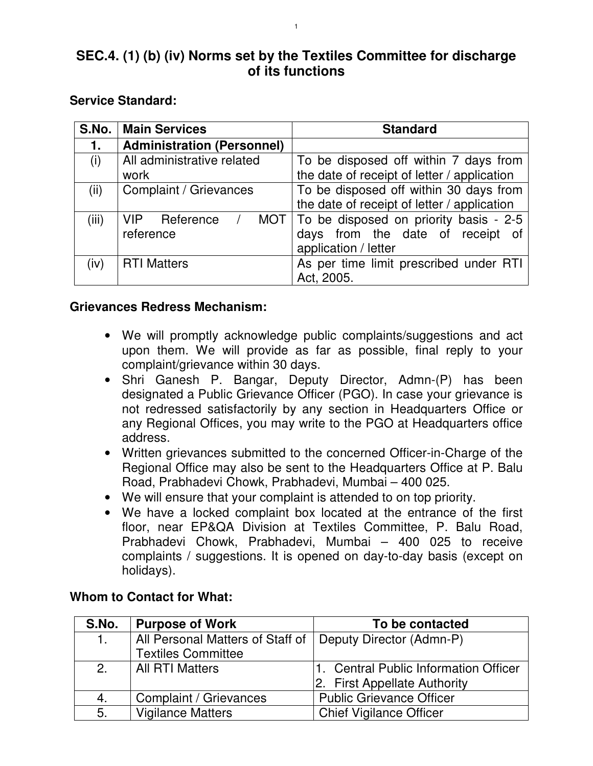# **SEC.4. (1) (b) (iv) Norms set by the Textiles Committee for discharge of its functions**

#### **Service Standard:**

| S.No. | <b>Main Services</b>              | <b>Standard</b>                              |
|-------|-----------------------------------|----------------------------------------------|
| 1.    | <b>Administration (Personnel)</b> |                                              |
| (i)   | All administrative related        | To be disposed off within 7 days from        |
|       | work                              | the date of receipt of letter / application  |
| (ii)  | Complaint / Grievances            | To be disposed off within 30 days from       |
|       |                                   | the date of receipt of letter / application  |
| (iii) | VIP Reference                     | MOT   To be disposed on priority basis - 2-5 |
|       | reference                         | days from the date of receipt of             |
|       |                                   | application / letter                         |
| (iv)  | <b>RTI Matters</b>                | As per time limit prescribed under RTI       |
|       |                                   | Act, 2005.                                   |

#### **Grievances Redress Mechanism:**

- We will promptly acknowledge public complaints/suggestions and act upon them. We will provide as far as possible, final reply to your complaint/grievance within 30 days.
- Shri Ganesh P. Bangar, Deputy Director, Admn-(P) has been designated a Public Grievance Officer (PGO). In case your grievance is not redressed satisfactorily by any section in Headquarters Office or any Regional Offices, you may write to the PGO at Headquarters office address.
- Written grievances submitted to the concerned Officer-in-Charge of the Regional Office may also be sent to the Headquarters Office at P. Balu Road, Prabhadevi Chowk, Prabhadevi, Mumbai – 400 025.
- We will ensure that your complaint is attended to on top priority.
- We have a locked complaint box located at the entrance of the first floor, near EP&QA Division at Textiles Committee, P. Balu Road, Prabhadevi Chowk, Prabhadevi, Mumbai – 400 025 to receive complaints / suggestions. It is opened on day-to-day basis (except on holidays).

| S.No.          | <b>Purpose of Work</b>           | To be contacted                           |
|----------------|----------------------------------|-------------------------------------------|
| $\mathbf{1}$ . | All Personal Matters of Staff of | Deputy Director (Admn-P)                  |
|                | <b>Textiles Committee</b>        |                                           |
| 2.             | <b>All RTI Matters</b>           | <b>Central Public Information Officer</b> |
|                |                                  | 2. First Appellate Authority              |
| 4.             | Complaint / Grievances           | <b>Public Grievance Officer</b>           |
| 5.             | <b>Vigilance Matters</b>         | <b>Chief Vigilance Officer</b>            |

### **Whom to Contact for What:**